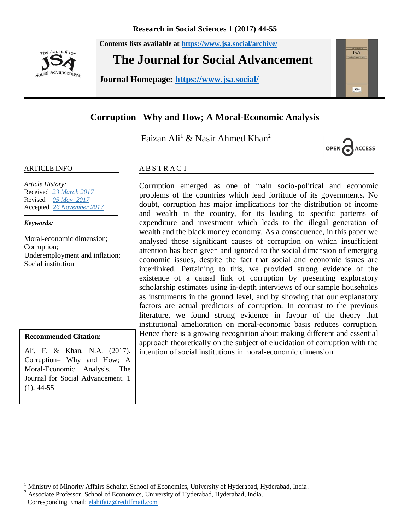

**Contents lists available at <https://www.jsa.social/archive/>**

# **The Journal for Social Advancement**

**Journal Homepage: <https://www.jsa.social/>**

## **Corruption– Why and How; A Moral-Economic Analysis**

Faizan Ali<sup>1</sup> & Nasir Ahmed Khan<sup>2</sup>

**ACCESS** 

**JSA** 

 $354$ 

#### ARTICLE INFO

*Article History:*  Received *23 March 2017* Revised *05 May 2017* Accepted *26 November 2017*

*Keywords:* 

 $\overline{a}$ 

Moral-economic dimension; Corruption; Underemployment and inflation; Social institution

#### **Recommended Citation:**

Ali, F. & Khan, N.A. (2017). Corruption– Why and How; A Moral-Economic Analysis. The Journal for Social Advancement. 1 (1), 44-55

#### A B S T R A C T

Corruption emerged as one of main socio-political and economic problems of the countries which lead fortitude of its governments. No doubt, corruption has major implications for the distribution of income and wealth in the country, for its leading to specific patterns of expenditure and investment which leads to the illegal generation of wealth and the black money economy. As a consequence, in this paper we analysed those significant causes of corruption on which insufficient attention has been given and ignored to the social dimension of emerging economic issues, despite the fact that social and economic issues are interlinked. Pertaining to this, we provided strong evidence of the existence of a causal link of corruption by presenting exploratory scholarship estimates using in-depth interviews of our sample households as instruments in the ground level, and by showing that our explanatory factors are actual predictors of corruption. In contrast to the previous literature, we found strong evidence in favour of the theory that institutional amelioration on moral-economic basis reduces corruption. Hence there is a growing recognition about making different and essential approach theoretically on the subject of elucidation of corruption with the intention of social institutions in moral-economic dimension.

<sup>1</sup> Ministry of Minority Affairs Scholar, School of Economics, University of Hyderabad, Hyderabad, India.

<sup>&</sup>lt;sup>2</sup> Associate Professor, School of Economics, University of Hyderabad, Hyderabad, India. Corresponding Email: [elahifaiz@rediffmail.com](mailto:elahifaiz@rediffmail.com)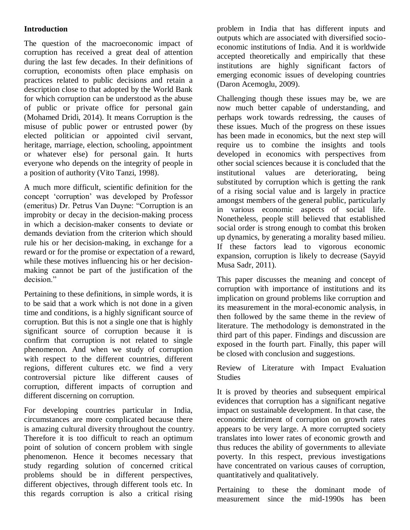## **Introduction**

The question of the macroeconomic impact of corruption has received a great deal of attention during the last few decades. In their definitions of corruption, economists often place emphasis on practices related to public decisions and retain a description close to that adopted by the World Bank for which corruption can be understood as the abuse of public or private office for personal gain (Mohamed Dridi, 2014). It means Corruption is the misuse of public power or entrusted power (by elected politician or appointed civil servant, heritage, marriage, election, schooling, appointment or whatever else) for personal gain. It hurts everyone who depends on the integrity of people in a position of authority (Vito Tanzi, 1998).

A much more difficult, scientific definition for the concept ‗corruption' was developed by Professor (emeritus) Dr. Petrus Van Duyne: "Corruption is an improbity or decay in the decision-making process in which a decision-maker consents to deviate or demands deviation from the criterion which should rule his or her decision-making, in exchange for a reward or for the promise or expectation of a reward, while these motives influencing his or her decisionmaking cannot be part of the justification of the decision."

Pertaining to these definitions, in simple words, it is to be said that a work which is not done in a given time and conditions, is a highly significant source of corruption. But this is not a single one that is highly significant source of corruption because it is confirm that corruption is not related to single phenomenon. And when we study of corruption with respect to the different countries, different regions, different cultures etc. we find a very controversial picture like different causes of corruption, different impacts of corruption and different discerning on corruption.

For developing countries particular in India, circumstances are more complicated because there is amazing cultural diversity throughout the country. Therefore it is too difficult to reach an optimum point of solution of concern problem with single phenomenon. Hence it becomes necessary that study regarding solution of concerned critical problems should be in different perspectives, different objectives, through different tools etc. In this regards corruption is also a critical rising

problem in India that has different inputs and outputs which are associated with diversified socioeconomic institutions of India. And it is worldwide accepted theoretically and empirically that these institutions are highly significant factors of emerging economic issues of developing countries (Daron Acemoglu, 2009).

Challenging though these issues may be, we are now much better capable of understanding, and perhaps work towards redressing, the causes of these issues. Much of the progress on these issues has been made in economics, but the next step will require us to combine the insights and tools developed in economics with perspectives from other social sciences because it is concluded that the institutional values are deteriorating, being substituted by corruption which is getting the rank of a rising social value and is largely in practice amongst members of the general public, particularly in various economic aspects of social life. Nonetheless, people still believed that established social order is strong enough to combat this broken up dynamics, by generating a morality based milieu. If these factors lead to vigorous economic expansion, corruption is likely to decrease (Sayyid Musa Sadr, 2011).

This paper discusses the meaning and concept of corruption with importance of institutions and its implication on ground problems like corruption and its measurement in the moral-economic analysis, in then followed by the same theme in the review of literature. The methodology is demonstrated in the third part of this paper. Findings and discussion are exposed in the fourth part. Finally, this paper will be closed with conclusion and suggestions.

Review of Literature with Impact Evaluation **Studies** 

It is proved by theories and subsequent empirical evidences that corruption has a significant negative impact on sustainable development. In that case, the economic detriment of corruption on growth rates appears to be very large. A more corrupted society translates into lower rates of economic growth and thus reduces the ability of governments to alleviate poverty. In this respect, previous investigations have concentrated on various causes of corruption, quantitatively and qualitatively.

Pertaining to these the dominant mode of measurement since the mid-1990s has been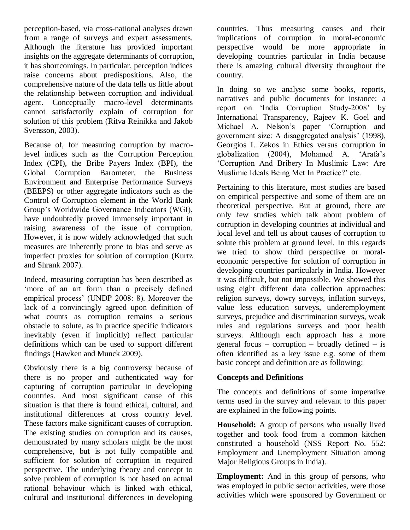perception-based, via cross-national analyses drawn from a range of surveys and expert assessments. Although the literature has provided important insights on the aggregate determinants of corruption, it has shortcomings. In particular, perception indices raise concerns about predispositions. Also, the comprehensive nature of the data tells us little about the relationship between corruption and individual agent. Conceptually macro-level determinants cannot satisfactorily explain of corruption for solution of this problem (Ritva Reinikka and Jakob Svensson, 2003).

Because of, for measuring corruption by macrolevel indices such as the Corruption Perception Index (CPI), the Bribe Payers Index (BPI), the Global Corruption Barometer, the Business Environment and Enterprise Performance Surveys (BEEPS) or other aggregate indicators such as the Control of Corruption element in the World Bank Group's Worldwide Governance Indicators (WGI), have undoubtedly proved immensely important in raising awareness of the issue of corruption. However, it is now widely acknowledged that such measures are inherently prone to bias and serve as imperfect proxies for solution of corruption (Kurtz and Shrank 2007).

Indeed, measuring corruption has been described as 'more of an art form than a precisely defined empirical process' (UNDP 2008: 8). Moreover the lack of a convincingly agreed upon definition of what counts as corruption remains a serious obstacle to solute, as in practice specific indicators inevitably (even if implicitly) reflect particular definitions which can be used to support different findings (Hawken and Munck 2009).

Obviously there is a big controversy because of there is no proper and authenticated way for capturing of corruption particular in developing countries. And most significant cause of this situation is that there is found ethical, cultural, and institutional differences at cross country level. These factors make significant causes of corruption. The existing studies on corruption and its causes, demonstrated by many scholars might be the most comprehensive, but is not fully compatible and sufficient for solution of corruption in required perspective. The underlying theory and concept to solve problem of corruption is not based on actual rational behaviour which is linked with ethical, cultural and institutional differences in developing

countries. Thus measuring causes and their implications of corruption in moral-economic perspective would be more appropriate in developing countries particular in India because there is amazing cultural diversity throughout the country.

In doing so we analyse some books, reports, narratives and public documents for instance: a report on 'India Corruption Study-2008' by International Transparency, Rajeev K. Goel and Michael A. Nelson's paper 'Corruption and government size: A disaggregated analysis' (1998), Georgios I. Zekos in Ethics versus corruption in globalization (2004), Mohamed A. 'Arafa's ‗Corruption And Bribery In Muslimic Law: Are Muslimic Ideals Being Met In Practice?' etc.

Pertaining to this literature, most studies are based on empirical perspective and some of them are on theoretical perspective. But at ground, there are only few studies which talk about problem of corruption in developing countries at individual and local level and tell us about causes of corruption to solute this problem at ground level. In this regards we tried to show third perspective or moraleconomic perspective for solution of corruption in developing countries particularly in India. However it was difficult, but not impossible. We showed this using eight different data collection approaches: religion surveys, dowry surveys, inflation surveys, value less education surveys, underemployment surveys, prejudice and discrimination surveys, weak rules and regulations surveys and poor health surveys. Although each approach has a more general focus – corruption – broadly defined – is often identified as a key issue e.g. some of them basic concept and definition are as following:

## **Concepts and Definitions**

The concepts and definitions of some imperative terms used in the survey and relevant to this paper are explained in the following points.

**Household:** A group of persons who usually lived together and took food from a common kitchen constituted a household (NSS Report No. 552: Employment and Unemployment Situation among Major Religious Groups in India).

**Employment:** And in this group of persons, who was employed in public sector activities, were those activities which were sponsored by Government or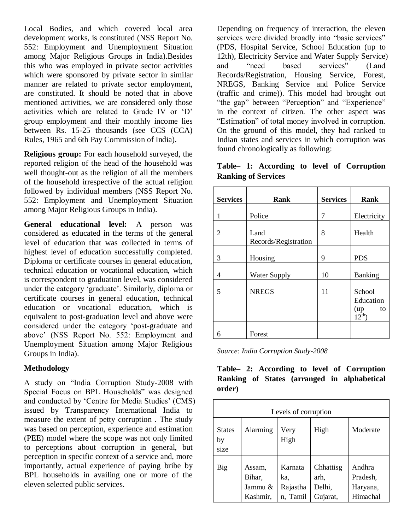Local Bodies, and which covered local area development works, is constituted (NSS Report No. 552: Employment and Unemployment Situation among Major Religious Groups in India).Besides this who was employed in private sector activities which were sponsored by private sector in similar manner are related to private sector employment, are constituted. It should be noted that in above mentioned activities, we are considered only those activities which are related to Grade IV or 'D' group employment and their monthly income lies between Rs. 15-25 thousands (see CCS (CCA) Rules, 1965 and 6th Pay Commission of India).

**Religious group:** For each household surveyed, the reported religion of the head of the household was well thought-out as the religion of all the members of the household irrespective of the actual religion followed by individual members (NSS Report No. 552: Employment and Unemployment Situation among Major Religious Groups in India).

**General educational level:** A person was considered as educated in the terms of the general level of education that was collected in terms of highest level of education successfully completed. Diploma or certificate courses in general education, technical education or vocational education, which is correspondent to graduation level, was considered under the category ‗graduate'. Similarly, diploma or certificate courses in general education, technical education or vocational education, which is equivalent to post-graduation level and above were considered under the category 'post-graduate and above' (NSS Report No. 552: Employment and Unemployment Situation among Major Religious Groups in India).

## **Methodology**

A study on "India Corruption Study-2008 with Special Focus on BPL Households" was designed and conducted by 'Centre for Media Studies' (CMS) issued by Transparency International India to measure the extent of petty corruption . The study was based on perception, experience and estimation (PEE) model where the scope was not only limited to perceptions about corruption in general, but perception in specific context of a service and, more importantly, actual experience of paying bribe by BPL households in availing one or more of the eleven selected public services.

Depending on frequency of interaction, the eleven services were divided broadly into "basic services" (PDS, Hospital Service, School Education (up to 12th), Electricity Service and Water Supply Service) and "need based services" (Land Records/Registration, Housing Service, Forest, NREGS, Banking Service and Police Service (traffic and crime)). This model had brought out "the gap" between "Perception" and "Experience" in the context of citizen. The other aspect was ―Estimation‖ of total money involved in corruption. On the ground of this model, they had ranked to Indian states and services in which corruption was found chronologically as following:

|  |                            |  | Table- 1: According to level of Corruption |
|--|----------------------------|--|--------------------------------------------|
|  | <b>Ranking of Services</b> |  |                                            |

| <b>Services</b> | Rank                         | <b>Services</b> | Rank                                            |
|-----------------|------------------------------|-----------------|-------------------------------------------------|
| 1               | Police                       | 7               | Electricity                                     |
| $\overline{2}$  | Land<br>Records/Registration | 8               | Health                                          |
| 3               | Housing                      | 9               | <b>PDS</b>                                      |
| 4               | <b>Water Supply</b>          | 10              | Banking                                         |
| 5               | <b>NREGS</b>                 | 11              | School<br>Education<br>$\mu$<br>to<br>$12^{th}$ |
| 6               | Forest                       |                 |                                                 |

*Source: India Corruption Study-2008*

**Table– 2: According to level of Corruption Ranking of States (arranged in alphabetical order)**

| Levels of corruption        |                                         |                                        |                                         |                                            |  |  |  |  |  |
|-----------------------------|-----------------------------------------|----------------------------------------|-----------------------------------------|--------------------------------------------|--|--|--|--|--|
| <b>States</b><br>by<br>size | Alarming                                | Very<br>High                           | High                                    | Moderate                                   |  |  |  |  |  |
| Big                         | Assam.<br>Bihar,<br>Jammu &<br>Kashmir, | Karnata<br>ka.<br>Rajastha<br>n, Tamil | Chhattisg<br>arh,<br>Delhi,<br>Gujarat, | Andhra<br>Pradesh,<br>Haryana,<br>Himachal |  |  |  |  |  |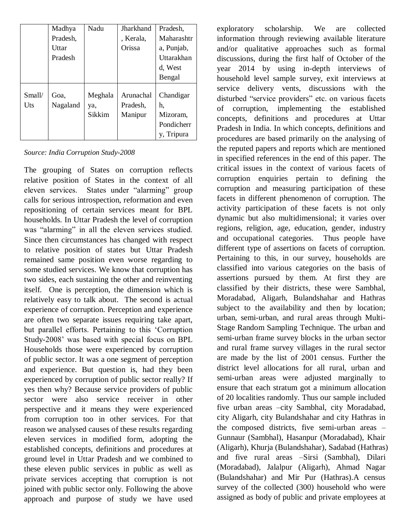|        | Madhya       | Nadu    | Jharkhand | Pradesh,   |
|--------|--------------|---------|-----------|------------|
|        | Pradesh.     |         | , Kerala, | Maharashtr |
|        | <b>Uttar</b> |         | Orissa    | a, Punjab, |
|        | Pradesh      |         |           | Uttarakhan |
|        |              |         |           | d, West    |
|        |              |         |           | Bengal     |
|        |              |         |           |            |
| Small/ | Goa,         | Meghala | Arunachal | Chandigar  |
| Uts    | Nagaland     | ya,     | Pradesh.  | h,         |
|        |              | Sikkim  | Manipur   | Mizoram,   |
|        |              |         |           | Pondicherr |
|        |              |         |           | y, Tripura |

#### *Source: India Corruption Study-2008*

The grouping of States on corruption reflects relative position of States in the context of all eleven services. States under "alarming" group calls for serious introspection, reformation and even repositioning of certain services meant for BPL households. In Uttar Pradesh the level of corruption was "alarming" in all the eleven services studied. Since then circumstances has changed with respect to relative position of states but Uttar Pradesh remained same position even worse regarding to some studied services. We know that corruption has two sides, each sustaining the other and reinventing itself. One is perception, the dimension which is relatively easy to talk about. The second is actual experience of corruption. Perception and experience are often two separate issues requiring take apart, but parallel efforts. Pertaining to this 'Corruption Study-2008' was based with special focus on BPL Households those were experienced by corruption of public sector. It was a one segment of perception and experience. But question is, had they been experienced by corruption of public sector really? If yes then why? Because service providers of public sector were also service receiver in other perspective and it means they were experienced from corruption too in other services. For that reason we analysed causes of these results regarding eleven services in modified form, adopting the established concepts, definitions and procedures at ground level in Uttar Pradesh and we combined to these eleven public services in public as well as private services accepting that corruption is not joined with public sector only. Following the above approach and purpose of study we have used

exploratory scholarship. We are collected information through reviewing available literature and/or qualitative approaches such as formal discussions, during the first half of October of the year 2014 by using in-depth interviews of household level sample survey, exit interviews at service delivery vents, discussions with the disturbed "service providers" etc. on various facets of corruption, implementing the established concepts, definitions and procedures at Uttar Pradesh in India. In which concepts, definitions and procedures are based primarily on the analysing of the reputed papers and reports which are mentioned in specified references in the end of this paper. The critical issues in the context of various facets of corruption enquiries pertain to defining the corruption and measuring participation of these facets in different phenomenon of corruption. The activity participation of these facets is not only dynamic but also multidimensional; it varies over regions, religion, age, education, gender, industry and occupational categories. Thus people have different type of assertions on facets of corruption. Pertaining to this, in our survey, households are classified into various categories on the basis of assertions pursued by them. At first they are classified by their districts, these were Sambhal, Moradabad, Aligarh, Bulandshahar and Hathras subject to the availability and then by location; urban, semi-urban, and rural areas through Multi-Stage Random Sampling Technique. The urban and semi-urban frame survey blocks in the urban sector and rural frame survey villages in the rural sector are made by the list of 2001 census. Further the district level allocations for all rural, urban and semi-urban areas were adjusted marginally to ensure that each stratum got a minimum allocation of 20 localities randomly. Thus our sample included five urban areas –city Sambhal, city Moradabad, city Aligarh, city Bulandshahar and city Hathras in the composed districts, five semi-urban areas – Gunnaur (Sambhal), Hasanpur (Moradabad), Khair (Aligarh), Khurja (Bulandshahar), Sadabad (Hathras) and five rural areas –Sirsi (Sambhal), Dilari (Moradabad), Jalalpur (Aligarh), Ahmad Nagar (Bulandshahar) and Mir Pur (Hathras).A census survey of the collected (300) household who were assigned as body of public and private employees at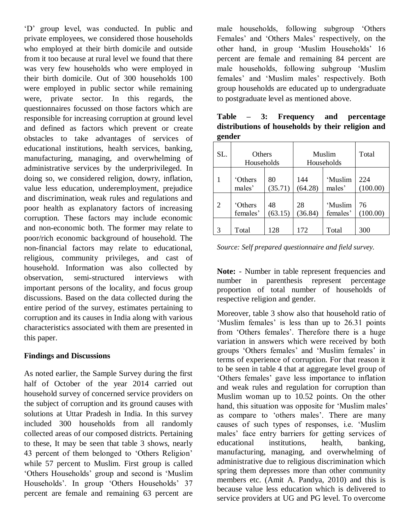‗D' group level, was conducted. In public and private employees, we considered those households who employed at their birth domicile and outside from it too because at rural level we found that there was very few households who were employed in their birth domicile. Out of 300 households 100 were employed in public sector while remaining were, private sector. In this regards, the questionnaires focussed on those factors which are responsible for increasing corruption at ground level and defined as factors which prevent or create obstacles to take advantages of services of educational institutions, health services, banking, manufacturing, managing, and overwhelming of administrative services by the underprivileged. In doing so, we considered religion, dowry, inflation, value less education, underemployment, prejudice and discrimination, weak rules and regulations and poor health as explanatory factors of increasing corruption. These factors may include economic and non-economic both. The former may relate to poor/rich economic background of household. The non-financial factors may relate to educational, religious, community privileges, and cast of household. Information was also collected by observation, semi-structured interviews with important persons of the locality, and focus group discussions. Based on the data collected during the entire period of the survey, estimates pertaining to corruption and its causes in India along with various characteristics associated with them are presented in this paper.

## **Findings and Discussions**

As noted earlier, the Sample Survey during the first half of October of the year 2014 carried out household survey of concerned service providers on the subject of corruption and its ground causes with solutions at Uttar Pradesh in India. In this survey included 300 households from all randomly collected areas of our composed districts. Pertaining to these, It may be seen that table 3 shows, nearly 43 percent of them belonged to 'Others Religion' while 57 percent to Muslim. First group is called ‗Others Households' group and second is ‗Muslim Households'. In group 'Others Households' 37 percent are female and remaining 63 percent are male households, following subgroup 'Others' Females' and 'Others Males' respectively, on the other hand, in group 'Muslim Households' 16 percent are female and remaining 84 percent are male households, following subgroup 'Muslim females' and 'Muslim males' respectively. Both group households are educated up to undergraduate to postgraduate level as mentioned above.

| gender                      |                          |               |                      |                     |                 |
|-----------------------------|--------------------------|---------------|----------------------|---------------------|-----------------|
| SL.                         | Others<br>Households     |               | Muslim<br>Households | Total               |                 |
|                             | <b>'Others</b><br>males' | 80<br>(35.71) | 144<br>(64.28)       | 'Muslim<br>males'   | 224<br>(100.00) |
| $\mathcal{D}_{\mathcal{A}}$ | 'Others<br>females'      | 48<br>(63.15) | 28<br>(36.84)        | 'Muslim<br>females' | 76<br>(100.00)  |
|                             |                          |               |                      |                     |                 |

**Table – 3: Frequency and percentage distributions of households by their religion and** 

*Source: Self prepared questionnaire and field survey.*

3 Total 128 172 Total 300

**Note:** - Number in table represent frequencies and number in parenthesis represent percentage proportion of total number of households of respective religion and gender.

Moreover, table 3 show also that household ratio of ‗Muslim females' is less than up to 26.31 points from 'Others females'. Therefore there is a huge variation in answers which were received by both groups ‗Others females' and ‗Muslim females' in terms of experience of corruption. For that reason it to be seen in table 4 that at aggregate level group of ‗Others females' gave less importance to inflation and weak rules and regulation for corruption than Muslim woman up to 10.52 points. On the other hand, this situation was opposite for 'Muslim males' as compare to 'others males'. There are many causes of such types of responses, i.e. 'Muslim males' face entry barriers for getting services of educational institutions, health, banking, manufacturing, managing, and overwhelming of administrative due to religious discrimination which spring them depresses more than other community members etc. (Amit A. Pandya, 2010) and this is because value less education which is delivered to service providers at UG and PG level. To overcome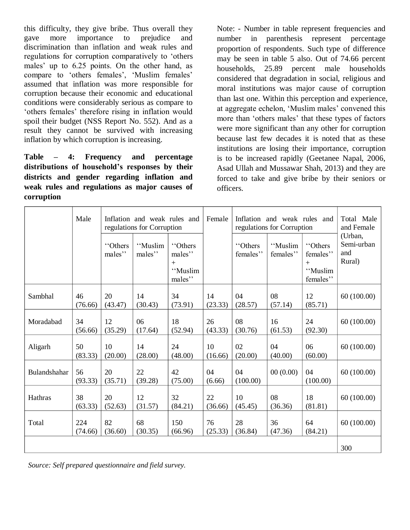this difficulty, they give bribe. Thus overall they gave more importance to prejudice and discrimination than inflation and weak rules and regulations for corruption comparatively to 'others' males' up to 6.25 points. On the other hand, as compare to 'others females', 'Muslim females' assumed that inflation was more responsible for corruption because their economic and educational conditions were considerably serious as compare to 'others females' therefore rising in inflation would spoil their budget (NSS Report No. 552). And as a result they cannot be survived with increasing inflation by which corruption is increasing.

**Table – 4: Frequency and percentage distributions of household's responses by their districts and gender regarding inflation and weak rules and regulations as major causes of corruption**

Note: - Number in table represent frequencies and number in parenthesis represent percentage proportion of respondents. Such type of difference may be seen in table 5 also. Out of 74.66 percent households, 25.89 percent male households considered that degradation in social, religious and moral institutions was major cause of corruption than last one. Within this perception and experience, at aggregate echelon, 'Muslim males' convened this more than 'others males' that these types of factors were more significant than any other for corruption because last few decades it is noted that as these institutions are losing their importance, corruption is to be increased rapidly (Geetanee Napal, 2006, Asad Ullah and Mussawar Shah, 2013) and they are forced to take and give bribe by their seniors or officers.

|              | Male           | Inflation and weak rules and<br>regulations for Corruption |                    |                                                | Female        | Inflation and weak rules and<br>regulations for Corruption | Total Male<br>and Female |                                                   |                                        |
|--------------|----------------|------------------------------------------------------------|--------------------|------------------------------------------------|---------------|------------------------------------------------------------|--------------------------|---------------------------------------------------|----------------------------------------|
|              |                | "Others<br>males"                                          | "Muslim"<br>males" | "Others"<br>males"<br>$+$<br>"Muslim<br>males" |               | "Others<br>females"                                        | "Muslim<br>females"      | "Others<br>females"<br>$+$<br>"Muslim<br>females" | (Urban,<br>Semi-urban<br>and<br>Rural) |
| Sambhal      | 46<br>(76.66)  | 20<br>(43.47)                                              | 14<br>(30.43)      | 34<br>(73.91)                                  | 14<br>(23.33) | 04<br>(28.57)                                              | 08<br>(57.14)            | 12<br>(85.71)                                     | 60(100.00)                             |
| Moradabad    | 34<br>(56.66)  | 12<br>(35.29)                                              | 06<br>(17.64)      | 18<br>(52.94)                                  | 26<br>(43.33) | 08<br>(30.76)                                              | 16<br>(61.53)            | 24<br>(92.30)                                     | 60(100.00)                             |
| Aligarh      | 50<br>(83.33)  | 10<br>(20.00)                                              | 14<br>(28.00)      | 24<br>(48.00)                                  | 10<br>(16.66) | 02<br>(20.00)                                              | 04<br>(40.00)            | 06<br>(60.00)                                     | 60(100.00)                             |
| Bulandshahar | 56<br>(93.33)  | 20<br>(35.71)                                              | 22<br>(39.28)      | 42<br>(75.00)                                  | 04<br>(6.66)  | 04<br>(100.00)                                             | 00(0.00)                 | 04<br>(100.00)                                    | 60(100.00)                             |
| Hathras      | 38<br>(63.33)  | 20<br>(52.63)                                              | 12<br>(31.57)      | 32<br>(84.21)                                  | 22<br>(36.66) | 10<br>(45.45)                                              | 08<br>(36.36)            | 18<br>(81.81)                                     | 60(100.00)                             |
| Total        | 224<br>(74.66) | 82<br>(36.60)                                              | 68<br>(30.35)      | 150<br>(66.96)                                 | 76<br>(25.33) | 28<br>(36.84)                                              | 36<br>(47.36)            | 64<br>(84.21)                                     | 60(100.00)                             |
|              |                |                                                            |                    |                                                |               |                                                            |                          |                                                   | 300                                    |

*Source: Self prepared questionnaire and field survey.*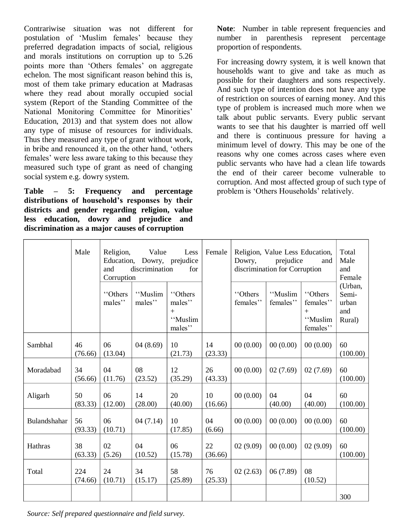Contrariwise situation was not different for postulation of 'Muslim females' because they preferred degradation impacts of social, religious and morals institutions on corruption up to 5.26 points more than 'Others females' on aggregate echelon. The most significant reason behind this is, most of them take primary education at Madrasas where they read about morally occupied social system (Report of the Standing Committee of the National Monitoring Committee for Minorities' Education, 2013) and that system does not allow any type of misuse of resources for individuals. Thus they measured any type of grant without work, in bribe and renounced it, on the other hand, 'others' females' were less aware taking to this because they measured such type of grant as need of changing social system e.g. dowry system.

**Table – 5: Frequency and percentage distributions of household's responses by their districts and gender regarding religion, value less education, dowry and prejudice and discrimination as a major causes of corruption**

Note: Number in table represent frequencies and number in parenthesis represent percentage proportion of respondents.

For increasing dowry system, it is well known that households want to give and take as much as possible for their daughters and sons respectively. And such type of intention does not have any type of restriction on sources of earning money. And this type of problem is increased much more when we talk about public servants. Every public servant wants to see that his daughter is married off well and there is continuous pressure for having a minimum level of dowry. This may be one of the reasons why one comes across cases where even public servants who have had a clean life towards the end of their career become vulnerable to corruption. And most affected group of such type of problem is 'Others Households' relatively.

|              | Male           | Religion,<br>Value<br>Less<br>Education, Dowry, prejudice<br>discrimination<br>and<br>for<br>Corruption |                   |                                                | Female<br>Religion, Value Less Education,<br>Dowry,<br>prejudice<br>and<br>discrimination for Corruption |                     |                     |                                                   | Total<br>Male<br>and<br>Female             |
|--------------|----------------|---------------------------------------------------------------------------------------------------------|-------------------|------------------------------------------------|----------------------------------------------------------------------------------------------------------|---------------------|---------------------|---------------------------------------------------|--------------------------------------------|
|              |                | "Others"<br>males"                                                                                      | "Muslim<br>males" | "Others"<br>males"<br>$+$<br>"Muslim<br>males" |                                                                                                          | "Others<br>females" | "Muslim<br>females" | "Others<br>females"<br>$+$<br>"Muslim<br>females" | (Urban,<br>Semi-<br>urban<br>and<br>Rural) |
| Sambhal      | 46<br>(76.66)  | 06<br>(13.04)                                                                                           | 04(8.69)          | 10<br>(21.73)                                  | 14<br>(23.33)                                                                                            | 00(0.00)            | 00(0.00)            | 00(0.00)                                          | 60<br>(100.00)                             |
| Moradabad    | 34<br>(56.66)  | 04<br>(11.76)                                                                                           | 08<br>(23.52)     | 12<br>(35.29)                                  | 26<br>(43.33)                                                                                            | 00(0.00)            | 02(7.69)            | 02(7.69)                                          | 60<br>(100.00)                             |
| Aligarh      | 50<br>(83.33)  | 06<br>(12.00)                                                                                           | 14<br>(28.00)     | 20<br>(40.00)                                  | 10<br>(16.66)                                                                                            | 00(0.00)            | 04<br>(40.00)       | 04<br>(40.00)                                     | 60<br>(100.00)                             |
| Bulandshahar | 56<br>(93.33)  | 06<br>(10.71)                                                                                           | 04(7.14)          | 10<br>(17.85)                                  | 04<br>(6.66)                                                                                             | 00(0.00)            | 00(0.00)            | 00(0.00)                                          | 60<br>(100.00)                             |
| Hathras      | 38<br>(63.33)  | 02<br>(5.26)                                                                                            | 04<br>(10.52)     | 06<br>(15.78)                                  | 22<br>(36.66)                                                                                            | 02(9.09)            | 00(0.00)            | 02(9.09)                                          | 60<br>(100.00)                             |
| Total        | 224<br>(74.66) | 24<br>(10.71)                                                                                           | 34<br>(15.17)     | 58<br>(25.89)                                  | 76<br>(25.33)                                                                                            | 02(2.63)            | 06(7.89)            | 08<br>(10.52)                                     |                                            |
|              |                |                                                                                                         |                   |                                                |                                                                                                          |                     |                     |                                                   | 300                                        |

*Source: Self prepared questionnaire and field survey.*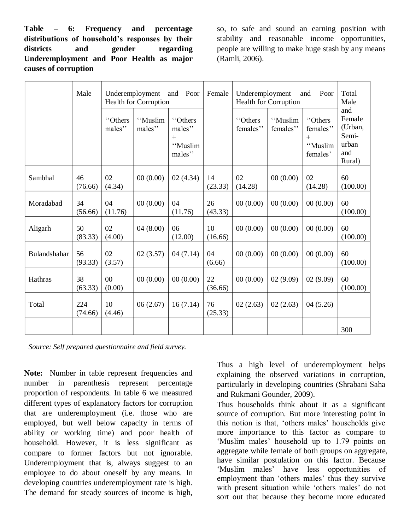**Table – 6: Frequency and percentage distributions of household's responses by their districts and gender regarding Underemployment and Poor Health as major causes of corruption**

so, to safe and sound an earning position with stability and reasonable income opportunities, people are willing to make huge stash by any means (Ramli, 2006).

|              | Male           | Underemployment<br>Poor<br>and<br><b>Health for Corruption</b> |                    |                                                | Female        | Underemployment<br><b>Health for Corruption</b> | Total<br>Male       |                                                   |                                                             |
|--------------|----------------|----------------------------------------------------------------|--------------------|------------------------------------------------|---------------|-------------------------------------------------|---------------------|---------------------------------------------------|-------------------------------------------------------------|
|              |                | "Others"<br>males"                                             | "Muslim"<br>males" | "Others"<br>males"<br>$+$<br>"Muslim<br>males" |               | "Others"<br>females"                            | "Muslim<br>females" | "Others<br>females"<br>$+$<br>"Muslim<br>females' | and<br>Female<br>(Urban,<br>Semi-<br>urban<br>and<br>Rural) |
| Sambhal      | 46<br>(76.66)  | 02<br>(4.34)                                                   | 00(0.00)           | 02(4.34)                                       | 14<br>(23.33) | 02<br>(14.28)                                   | 00(0.00)            | 02<br>(14.28)                                     | 60<br>(100.00)                                              |
| Moradabad    | 34<br>(56.66)  | 04<br>(11.76)                                                  | 00(0.00)           | 04<br>(11.76)                                  | 26<br>(43.33) | 00(0.00)                                        | 00(0.00)            | 00(0.00)                                          | 60<br>(100.00)                                              |
| Aligarh      | 50<br>(83.33)  | 02<br>(4.00)                                                   | 04(8.00)           | 06<br>(12.00)                                  | 10<br>(16.66) | 00(0.00)                                        | 00(0.00)            | 00(0.00)                                          | 60<br>(100.00)                                              |
| Bulandshahar | 56<br>(93.33)  | 02<br>(3.57)                                                   | 02(3.57)           | 04(7.14)                                       | 04<br>(6.66)  | 00(0.00)                                        | 00(0.00)            | 00(0.00)                                          | 60<br>(100.00)                                              |
| Hathras      | 38<br>(63.33)  | $00\,$<br>(0.00)                                               | 00(0.00)           | 00(0.00)                                       | 22<br>(36.66) | 00(0.00)                                        | 02(9.09)            | 02(9.09)                                          | 60<br>(100.00)                                              |
| Total        | 224<br>(74.66) | 10<br>(4.46)                                                   | 06(2.67)           | 16(7.14)                                       | 76<br>(25.33) | 02(2.63)                                        | 02(2.63)            | 04(5.26)                                          |                                                             |
|              |                |                                                                |                    |                                                |               |                                                 |                     |                                                   | 300                                                         |

*Source: Self prepared questionnaire and field survey.*

Note: Number in table represent frequencies and number in parenthesis represent percentage proportion of respondents. In table 6 we measured different types of explanatory factors for corruption that are underemployment (i.e. those who are employed, but well below capacity in terms of ability or working time) and poor health of household. However, it is less significant as compare to former factors but not ignorable. Underemployment that is, always suggest to an employee to do about oneself by any means. In developing countries underemployment rate is high. The demand for steady sources of income is high,

Thus a high level of underemployment helps explaining the observed variations in corruption, particularly in developing countries (Shrabani Saha and Rukmani Gounder, 2009).

Thus households think about it as a significant source of corruption. But more interesting point in this notion is that, 'others males' households give more importance to this factor as compare to ‗Muslim males' household up to 1.79 points on aggregate while female of both groups on aggregate, have similar postulation on this factor. Because ‗Muslim males' have less opportunities of employment than 'others males' thus they survive with present situation while 'others males' do not sort out that because they become more educated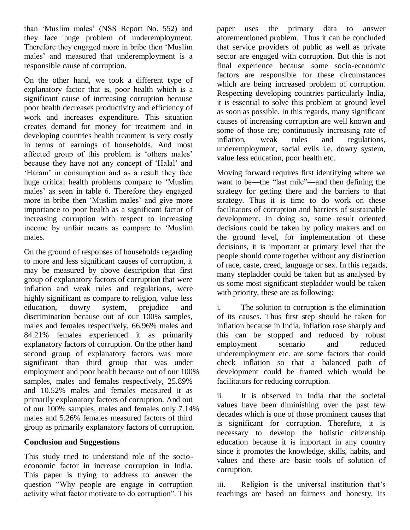than 'Muslim males' (NSS Report No. 552) and they face huge problem of underemployment. Therefore they engaged more in bribe then 'Muslim' males' and measured that underemployment is a responsible cause of corruption.

On the other hand, we took a different type of explanatory factor that is, poor health which is a significant cause of increasing corruption because poor health decreases productivity and efficiency of work and increases expenditure. This situation creates demand for money for treatment and in developing countries health treatment is very costly in terms of earnings of households. And most affected group of this problem is 'others males' because they have not any concept of 'Halal' and ‗Haram' in consumption and as a result they face huge critical health problems compare to 'Muslim' males' as seen in table 6. Therefore they engaged more in bribe then 'Muslim males' and give more importance to poor health as a significant factor of increasing corruption with respect to increasing income by unfair means as compare to 'Muslim males.

On the ground of responses of households regarding to more and less significant causes of corruption, it may be measured by above description that first group of explanatory factors of corruption that were inflation and weak rules and regulations, were highly significant as compare to religion, value less education, dowry system, prejudice and discrimination because out of our 100% samples, males and females respectively, 66.96% males and 84.21% females experienced it as primarily explanatory factors of corruption. On the other hand second group of explanatory factors was more significant than third group that was under employment and poor health because out of our 100% samples, males and females respectively, 25.89% and 10.52% males and females measured it as primarily explanatory factors of corruption. And out of our 100% samples, males and females only 7.14% males and 5.26% females measured factors of third group as primarily explanatory factors of corruption.

## **Conclusion and Suggestions**

This study tried to understand role of the socioeconomic factor in increase corruption in India. This paper is trying to address to answer the question "Why people are engage in corruption activity what factor motivate to do corruption". This

paper uses the primary data to answer aforementioned problem. Thus it can be concluded that service providers of public as well as private sector are engaged with corruption. But this is not final experience because some socio-economic factors are responsible for these circumstances which are being increased problem of corruption. Respecting developing countries particularly India, it is essential to solve this problem at ground level as soon as possible. In this regards, many significant causes of increasing corruption are well known and some of those are; continuously increasing rate of inflation, weak rules and regulations, underemployment, social evils i.e. dowry system, value less education, poor health etc.

Moving forward requires first identifying where we want to be—the "last mile"—and then defining the strategy for getting there and the barriers to that strategy. Thus it is time to do work on these facilitators of corruption and barriers of sustainable development. In doing so, some result oriented decisions could be taken by policy makers and on the ground level, for implementation of these decisions, it is important at primary level that the people should come together without any distinction of race, caste, creed, language or sex. In this regards, many stepladder could be taken but as analysed by us some most significant stepladder would be taken with priority, these are as following:

i. The solution to corruption is the elimination of its causes. Thus first step should be taken for inflation because in India, inflation rose sharply and this can be stopped and reduced by robust employment scenario and reduced underemployment etc. are some factors that could check inflation so that a balanced path of development could be framed which would be facilitators for reducing corruption.

ii. It is observed in India that the societal values have been diminishing over the past few decades which is one of those prominent causes that is significant for corruption. Therefore, it is necessary to develop the holistic citizenship education because it is important in any country since it promotes the knowledge, skills, habits, and values and these are basic tools of solution of corruption.

iii. Religion is the universal institution that's teachings are based on fairness and honesty. Its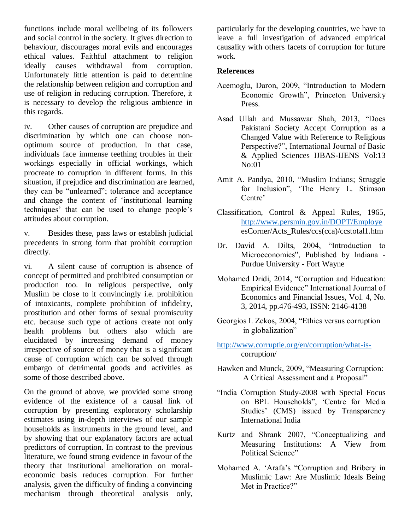functions include moral wellbeing of its followers and social control in the society. It gives direction to behaviour, discourages moral evils and encourages ethical values. Faithful attachment to religion ideally causes withdrawal from corruption. Unfortunately little attention is paid to determine the relationship between religion and corruption and use of religion in reducing corruption. Therefore, it is necessary to develop the religious ambience in this regards.

iv. Other causes of corruption are prejudice and discrimination by which one can choose nonoptimum source of production. In that case, individuals face immense teething troubles in their workings especially in official workings, which procreate to corruption in different forms. In this situation, if prejudice and discrimination are learned, they can be "unlearned"; tolerance and acceptance and change the content of 'institutional learning techniques' that can be used to change people's attitudes about corruption.

v. Besides these, pass laws or establish judicial precedents in strong form that prohibit corruption directly.

vi. A silent cause of corruption is absence of concept of permitted and prohibited consumption or production too. In religious perspective, only Muslim be close to it convincingly i.e. prohibition of intoxicants, complete prohibition of infidelity, prostitution and other forms of sexual promiscuity etc. because such type of actions create not only health problems but others also which are elucidated by increasing demand of money irrespective of source of money that is a significant cause of corruption which can be solved through embargo of detrimental goods and activities as some of those described above.

On the ground of above, we provided some strong evidence of the existence of a causal link of corruption by presenting exploratory scholarship estimates using in-depth interviews of our sample households as instruments in the ground level, and by showing that our explanatory factors are actual predictors of corruption. In contrast to the previous literature, we found strong evidence in favour of the theory that institutional amelioration on moraleconomic basis reduces corruption. For further analysis, given the difficulty of finding a convincing mechanism through theoretical analysis only,

particularly for the developing countries, we have to leave a full investigation of advanced empirical causality with others facets of corruption for future work.

#### **References**

- Acemoglu, Daron, 2009, "Introduction to Modern Economic Growth", Princeton University Press.
- Asad Ullah and Mussawar Shah, 2013, "Does Pakistani Society Accept Corruption as a Changed Value with Reference to Religious Perspective?", International Journal of Basic & Applied Sciences IJBAS-IJENS Vol:13 No:01
- Amit A. Pandya, 2010, "Muslim Indians; Struggle for Inclusion", 'The Henry L. Stimson Centre'
- Classification, Control & Appeal Rules, 1965, <http://www.persmin.gov.in/DOPT/Employe> esCorner/Acts\_Rules/ccs(cca)/ccstotal1.htm
- Dr. David A. Dilts, 2004, "Introduction to Microeconomics", Published by Indiana -Purdue University - Fort Wayne
- Mohamed Dridi, 2014, "Corruption and Education: Empirical Evidence" International Journal of Economics and Financial Issues, Vol. 4, No. 3, 2014, pp.476-493, ISSN: 2146-4138
- Georgios I. Zekos, 2004, "Ethics versus corruption in globalization"
- [http://www.corruptie.org/en/corruption/what-is](http://www.corruptie.org/en/corruption/what-is-)corruption/
- Hawken and Munck, 2009, "Measuring Corruption: A Critical Assessment and a Proposal"
- "India Corruption Study-2008 with Special Focus on BPL Households", 'Centre for Media Studies' (CMS) issued by Transparency International India
- Kurtz and Shrank 2007, "Conceptualizing and Measuring Institutions: A View from Political Science"
- Mohamed A. 'Arafa's "Corruption and Bribery in Muslimic Law: Are Muslimic Ideals Being Met in Practice?"